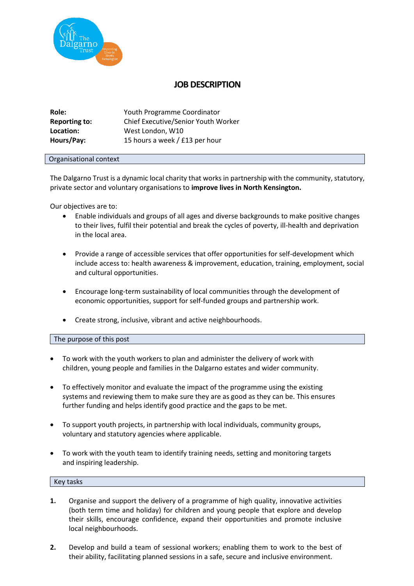

## **JOB DESCRIPTION**

| Role:                | Youth Programme Coordinator         |
|----------------------|-------------------------------------|
| <b>Reporting to:</b> | Chief Executive/Senior Youth Worker |
| Location:            | West London, W10                    |
| Hours/Pay:           | 15 hours a week / £13 per hour      |

## Organisational context

The Dalgarno Trust is a dynamic local charity that works in partnership with the community, statutory, private sector and voluntary organisations to **improve lives in North Kensington.**

Our objectives are to:

- Enable individuals and groups of all ages and diverse backgrounds to make positive changes to their lives, fulfil their potential and break the cycles of poverty, ill-health and deprivation in the local area.
- Provide a range of accessible services that offer opportunities for self-development which include access to: health awareness & improvement, education, training, employment, social and cultural opportunities.
- Encourage long-term sustainability of local communities through the development of economic opportunities, support for self-funded groups and partnership work.
- Create strong, inclusive, vibrant and active neighbourhoods.

The purpose of this post

- To work with the youth workers to plan and administer the delivery of work with children, young people and families in the Dalgarno estates and wider community.
- To effectively monitor and evaluate the impact of the programme using the existing systems and reviewing them to make sure they are as good as they can be. This ensures further funding and helps identify good practice and the gaps to be met.
- To support youth projects, in partnership with local individuals, community groups, voluntary and statutory agencies where applicable.
- To work with the youth team to identify training needs, setting and monitoring targets and inspiring leadership.

## Key tasks

- **1.** Organise and support the delivery of a programme of high quality, innovative activities (both term time and holiday) for children and young people that explore and develop their skills, encourage confidence, expand their opportunities and promote inclusive local neighbourhoods.
- **2.** Develop and build a team of sessional workers; enabling them to work to the best of their ability, facilitating planned sessions in a safe, secure and inclusive environment.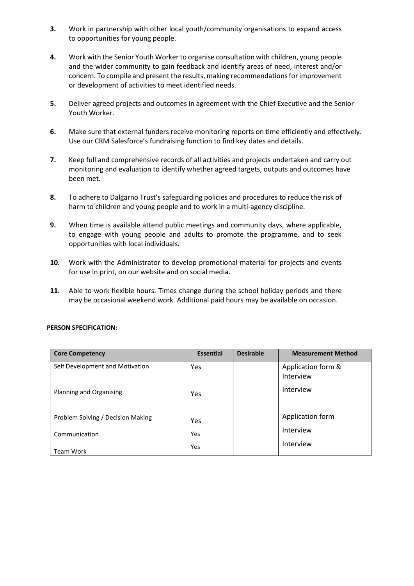- **3.** Work in partnership with other local youth/community organisations to expand access to opportunities for young people.
- **4.** Work with the Senior Youth Workerto organise consultation with children, young people and the wider community to gain feedback and identify areas of need, interest and/or concern. To compile and present the results, making recommendations for improvement or development of activities to meet identified needs.
- **5.** Deliver agreed projects and outcomes in agreement with the Chief Executive and the Senior Youth Worker.
- **6.** Make sure that external funders receive monitoring reports on time efficiently and effectively. Use our CRM Salesforce's fundraising function to find key dates and details.
- **7.** Keep full and comprehensive records of all activities and projects undertaken and carry out monitoring and evaluation to identify whether agreed targets, outputs and outcomes have been met.
- **8.** To adhere to Dalgarno Trust's safeguarding policies and procedures to reduce the risk of harm to children and young people and to work in a multi-agency discipline.
- **9.** When time is available attend public meetings and community days, where applicable, to engage with young people and adults to promote the programme, and to seek opportunities with local individuals.
- **10.** Work with the Administrator to develop promotional material for projects and events for use in print, on our website and on social media.
- **11.** Able to work flexible hours. Times change during the school holiday periods and there may be occasional weekend work. Additional paid hours may be available on occasion.

| <b>Core Competency</b>            | <b>Essential</b> | <b>Desirable</b> | <b>Measurement Method</b>       |
|-----------------------------------|------------------|------------------|---------------------------------|
| Self Development and Motivation   | Yes              |                  | Application form &<br>Interview |
| Planning and Organising           | Yes              |                  | Interview                       |
| Problem Solving / Decision Making | Yes              |                  | Application form                |
| Communication                     | Yes              |                  | Interview                       |
| <b>Team Work</b>                  | Yes              |                  | Interview                       |

## **PERSON SPECIFICATION:**